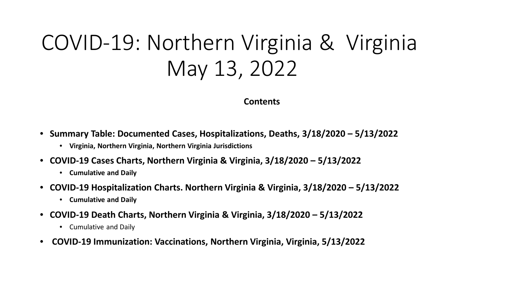# COVID-19: Northern Virginia & Virginia May 13, 2022

#### **Contents**

- **Summary Table: Documented Cases, Hospitalizations, Deaths, 3/18/2020 – 5/13/2022**
	- **Virginia, Northern Virginia, Northern Virginia Jurisdictions**
- **COVID-19 Cases Charts, Northern Virginia & Virginia, 3/18/2020 – 5/13/2022**
	- **Cumulative and Daily**
- **COVID-19 Hospitalization Charts. Northern Virginia & Virginia, 3/18/2020 – 5/13/2022**
	- **Cumulative and Daily**
- **COVID-19 Death Charts, Northern Virginia & Virginia, 3/18/2020 – 5/13/2022**
	- Cumulative and Daily
- **COVID-19 Immunization: Vaccinations, Northern Virginia, Virginia, 5/13/2022**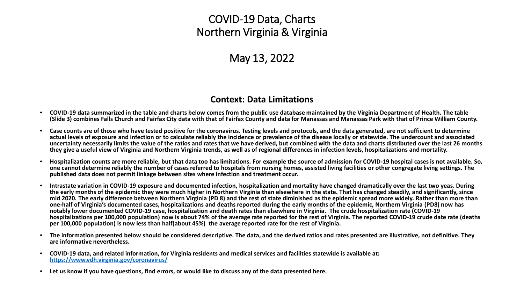# COVID-19 Data, Charts Northern Virginia & Virginia

# May 13, 2022

#### **Context: Data Limitations**

- **COVID-19 data summarized in the table and charts below comes from the public use database maintained by the Virginia Department of Health. The table (Slide 3) combines Falls Church and Fairfax City data with that of Fairfax County and data for Manassas and Manassas Park with that of Prince William County.**
- **Case counts are of those who have tested positive for the coronavirus. Testing levels and protocols, and the data generated, are not sufficient to determine actual levels of exposure and infection or to calculate reliably the incidence or prevalence of the disease locally or statewide. The undercount and associated uncertainty necessarily limits the value of the ratios and rates that we have derived, but combined with the data and charts distributed over the last 26 months they give a useful view of Virginia and Northern Virginia trends, as well as of regional differences in infection levels, hospitalizations and mortality.**
- **Hospitalization counts are more reliable, but that data too has limitations. For example the source of admission for COVID-19 hospital cases is not available. So, one cannot determine reliably the number of cases referred to hospitals from nursing homes, assisted living facilities or other congregate living settings. The published data does not permit linkage between sites where infection and treatment occur.**
- **Intrastate variation in COVID-19 exposure and documented infection, hospitalization and mortality have changed dramatically over the last two yeas. During the early months of the epidemic they were much higher in Northern Virginia than elsewhere in the state. That has changed steadily, and significantly, since mid 2020. The early difference between Northern Virginia (PD 8) and the rest of state diminished as the epidemic spread more widely. Rather than more than one-half of Virginia's documented cases, hospitalizations and deaths reported during the early months of the epidemic, Northern Virginia (PD8) now has notably lower documented COVID-19 case, hospitalization and death rates than elsewhere in Virginia. The crude hospitalization rate (COVID-19 hospitalizations per 100,000 population) now is about 74% of the average rate reported for the rest of Virginia. The reported COVID-19 crude date rate (deaths per 100,000 population) is now less than half(about 45%) the average reported rate for the rest of Virginia.**
- **The information presented below should be considered descriptive. The data, and the derived ratios and rates presented are illustrative, not definitive. They are informative nevertheless.**
- **COVID-19 data, and related information, for Virginia residents and medical services and facilities statewide is available at: <https://www.vdh.virginia.gov/coronavirus/>**
- **Let us know if you have questions, find errors, or would like to discuss any of the data presented here.**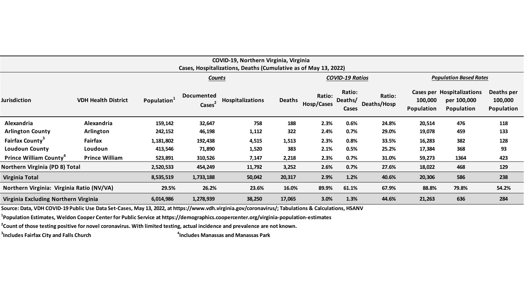| COVID-19, Northern Virginia, Virginia<br>Cases, Hospitalizations, Deaths (Cumulative as of May 13, 2022) |                            |                   |                                         |                  |               |                        |                                   |                       |                                    |                                                      |                                     |
|----------------------------------------------------------------------------------------------------------|----------------------------|-------------------|-----------------------------------------|------------------|---------------|------------------------|-----------------------------------|-----------------------|------------------------------------|------------------------------------------------------|-------------------------------------|
|                                                                                                          |                            | Counts            |                                         |                  |               | <b>COVID-19 Ratios</b> |                                   |                       | <b>Population Based Rates</b>      |                                                      |                                     |
| Jurisdiction                                                                                             | <b>VDH Health District</b> | <b>Population</b> | <b>Documented</b><br>Cases <sup>-</sup> | Hospitalizations | <b>Deaths</b> | Ratio:<br>Hosp/Cases   | Ratio:<br>Deaths/<br><b>Cases</b> | Ratio:<br>Deaths/Hosp | Cases per<br>100,000<br>Population | Hospitalizations<br>per 100,000<br><b>Population</b> | Deaths per<br>100,000<br>Population |
| Alexandria                                                                                               | Alexandria                 | 159,142           | 32,647                                  | 758              | 188           | 2.3%                   | 0.6%                              | 24.8%                 | 20,514                             | 476                                                  | 118                                 |
| <b>Arlington County</b>                                                                                  | Arlington                  | 242,152           | 46,198                                  | 1,112            | 322           | 2.4%                   | 0.7%                              | 29.0%                 | 19,078                             | 459                                                  | 133                                 |
| <b>Fairfax County</b> <sup>3</sup>                                                                       | <b>Fairfax</b>             | 1,181,802         | 192,438                                 | 4,515            | 1,513         | 2.3%                   | 0.8%                              | 33.5%                 | 16,283                             | 382                                                  | 128                                 |
| <b>Loudoun County</b>                                                                                    | Loudoun                    | 413,546           | 71,890                                  | 1,520            | 383           | 2.1%                   | 0.5%                              | 25.2%                 | 17,384                             | 368                                                  | 93                                  |
| Prince William County                                                                                    | <b>Prince William</b>      | 523,891           | 310,526                                 | 7,147            | 2,218         | 2.3%                   | 0.7%                              | 31.0%                 | 59,273                             | 1364                                                 | 423                                 |
| Northern Virginia (PD 8) Total                                                                           |                            | 2,520,533         | 454,249                                 | 11,792           | 3,252         | 2.6%                   | 0.7%                              | 27.6%                 | 18,022                             | 468                                                  | 129                                 |
| <b>Virginia Total</b>                                                                                    |                            | 8,535,519         | 1,733,188                               | 50,042           | 20,317        | 2.9%                   | 1.2%                              | 40.6%                 | 20,306                             | 586                                                  | 238                                 |
| Northern Virginia: Virginia Ratio (NV/VA)                                                                |                            | 29.5%             | 26.2%                                   | 23.6%            | 16.0%         | 89.9%                  | 61.1%                             | 67.9%                 | 88.8%                              | 79.8%                                                | 54.2%                               |
| Virginia Excluding Northern Virginia                                                                     |                            | 6,014,986         | 1,278,939                               | 38,250           | 17,065        | 3.0%                   | 1.3%                              | 44.6%                 | 21,263                             | 636                                                  | 284                                 |
|                                                                                                          |                            |                   |                                         |                  |               |                        |                                   |                       |                                    |                                                      |                                     |

**Source: Data, VDH COVID-19 Public Use Data Set-Cases, May 13, 2022, at https://www.vdh.virginia.gov/coronavirus/; Tabulations & Calculations, HSANV**

**1 Population Estimates, Weldon Cooper Center for Public Service at https://demographics.coopercenter.org/virginia-population-estimates**

**2 Count of those testing positive for novel coronavirus. With limited testing, actual incidence and prevalence are not known.**

**3 Includes Fairfax City and Falls Church <sup>4</sup>**

**Includes Manassas and Manassas Park**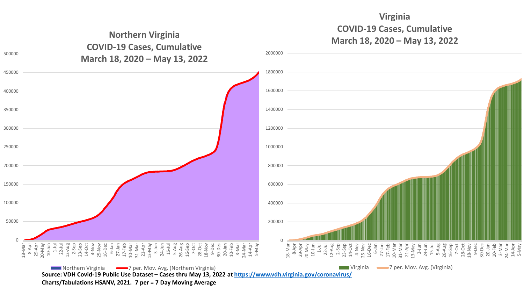

**Virginia**

**Charts/Tabulations HSANV, 2021. 7 per = 7 Day Moving Average**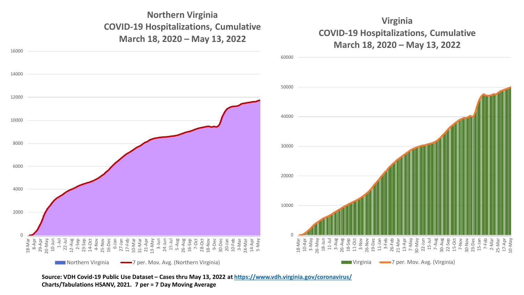## **Northern Virginia COVID-19 Hospitalizations, Cumulative March 18, 2020 – May 13, 2022**



#### **Virginia COVID-19 Hospitalizations, Cumulative March 18, 2020 – May 13, 2022**



**Source: VDH Covid-19 Public Use Dataset – Cases thru May 13, 2022 at<https://www.vdh.virginia.gov/coronavirus/> Charts/Tabulations HSANV, 2021. 7 per = 7 Day Moving Average**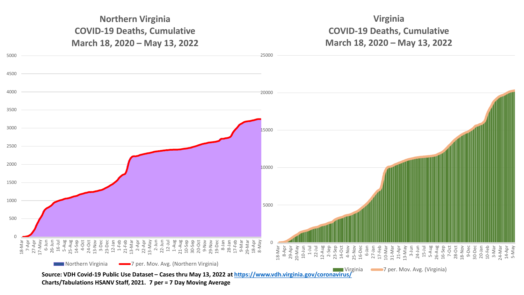## **Northern Virginia COVID-19 Deaths, Cumulative March 18, 2020 – May 13, 2022**

## **Virginia COVID-19 Deaths, Cumulative March 18, 2020 – May 13, 2022**



**Charts/Tabulations HSANV Staff, 2021. 7 per = 7 Day Moving Average**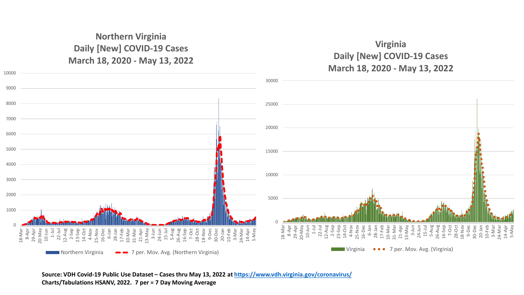#### **Northern Virginia Daily [New] COVID-19 Cases March 18, 2020 - May 13, 2022**

## **Virginia Daily [New] COVID-19 Cases March 18, 2020 - May 13, 2022**



**Source: VDH Covid-19 Public Use Dataset – Cases thru May 13, 2022 at<https://www.vdh.virginia.gov/coronavirus/> Charts/Tabulations HSANV, 2022. 7 per = 7 Day Moving Average**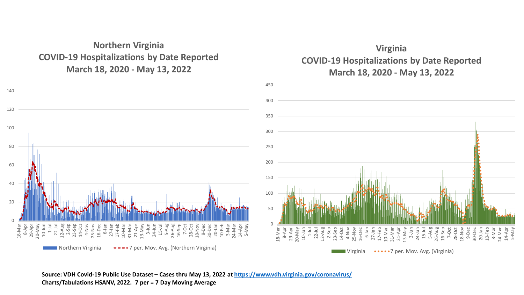#### **Northern Virginia COVID-19 Hospitalizations by Date Reported March 18, 2020 - May 13, 2022**



## **Virginia COVID-19 Hospitalizations by Date Reported March 18, 2020 - May 13, 2022**



#### **Source: VDH Covid-19 Public Use Dataset – Cases thru May 13, 2022 at<https://www.vdh.virginia.gov/coronavirus/> Charts/Tabulations HSANV, 2022. 7 per = 7 Day Moving Average**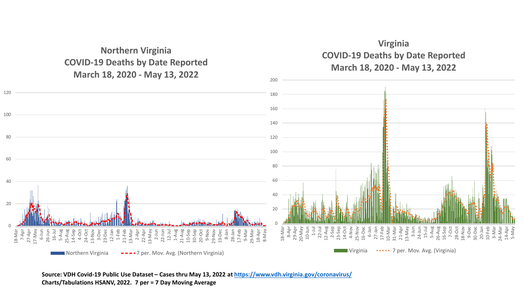**Northern Virginia COVID-19 Deaths by Date Reported March 18, 2020 - May 13, 2022**



Northern Virginia ----7 per. Mov. Avg. (Northern Virginia)

0

18-Mar

7-Apr 27-Apr 17-May

6-Jun 26-Jun 16-Jul

20

40

60

80

100

120

Virginia **....** 7 per. Mov. Avg. (Virginia)

**Source: VDH Covid-19 Public Use Dataset – Cases thru May 13, 2022 at<https://www.vdh.virginia.gov/coronavirus/> Charts/Tabulations HSANV, 2022. 7 per = 7 Day Moving Average**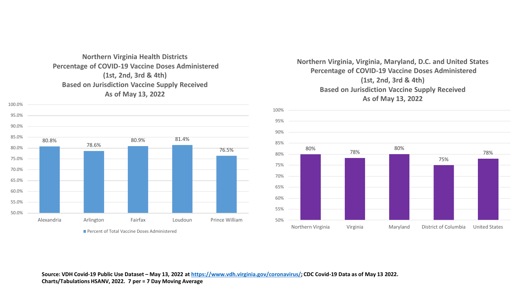#### **Northern Virginia Health Districts Percentage of COVID-19 Vaccine Doses Administered (1st, 2nd, 3rd & 4th) Based on Jurisdiction Vaccine Supply Received As of May 13, 2022**



#### **Northern Virginia, Virginia, Maryland, D.C. and United States Percentage of COVID-19 Vaccine Doses Administered (1st, 2nd, 3rd & 4th) Based on Jurisdiction Vaccine Supply Received As of May 13, 2022**

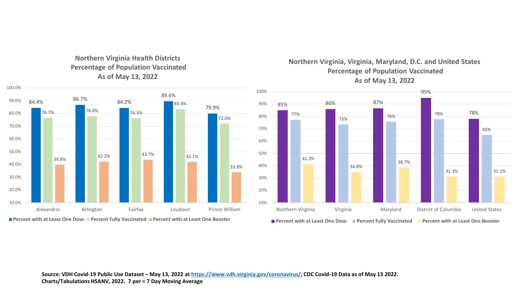

**Northern Virginia Health Districts Percentage of Population Vaccinated As of May 13, 2022**

**Northern Virginia, Virginia, Maryland, D.C. and United States Percentage of Population Vaccinated As of May 13, 2022**



**Percent with at Least One Dose Percent Fully Vaccinated Percent with at Least One Booster**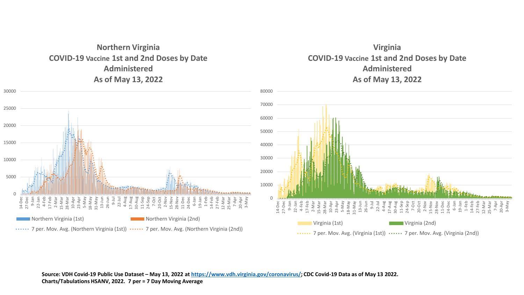

#### **Virginia COVID-19 Vaccine 1st and 2nd Doses by Date Administered As of May 13, 2022**